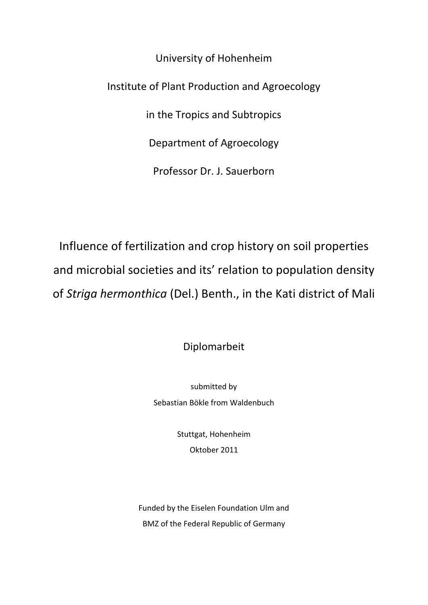University of Hohenheim Institute of Plant Production and Agroecology in the Tropics and Subtropics Department of Agroecology Professor Dr. J. Sauerborn

Influence of fertilization and crop history on soil properties and microbial societies and its' relation to population density of *Striga hermonthica* (Del.) Benth., in the Kati district of Mali

Diplomarbeit

submitted by Sebastian Bökle from Waldenbuch

> Stuttgat, Hohenheim Oktober 2011

Funded by the Eiselen Foundation Ulm and BMZ of the Federal Republic of Germany